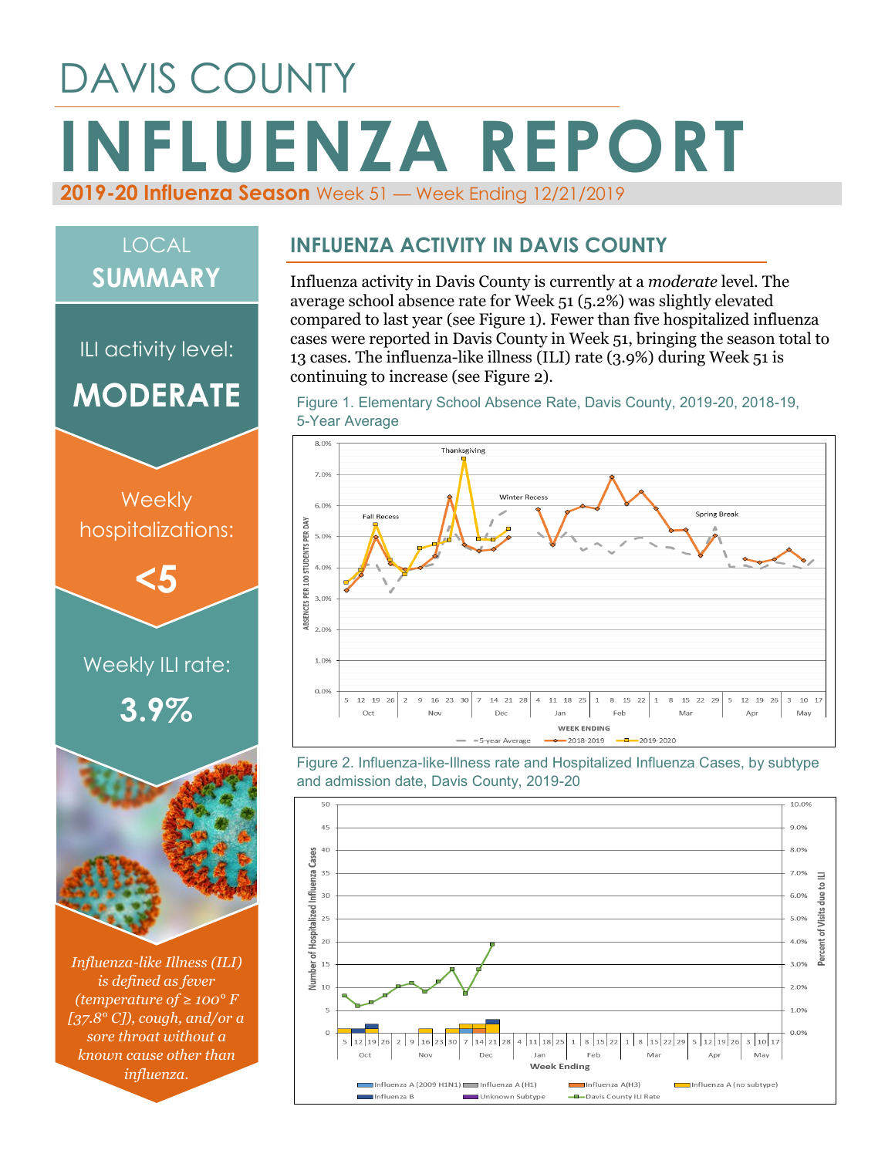# DAVIS COUNTY **INFLUENZA REPORT 2019-20 Influenza Season** Week 51 — Week Ending 12/21/2019

## LOCAL **SUMMARY**

ILI activity level: **MODERATE**



*Influenza-like Illness (ILI) is defined as fever (temperature of ≥ 100° F [37.8° C]), cough, and/or a sore throat without a known cause other than influenza.*

#### **INFLUENZA ACTIVITY IN DAVIS COUNTY**

Influenza activity in Davis County is currently at a *moderate* level. The average school absence rate for Week 51 (5.2%) was slightly elevated compared to last year (see Figure 1). Fewer than five hospitalized influenza cases were reported in Davis County in Week 51, bringing the season total to 13 cases. The influenza-like illness (ILI) rate (3.9%) during Week 51 is continuing to increase (see Figure 2).





Figure 2. Influenza-like-Illness rate and Hospitalized Influenza Cases, by subtype and admission date, Davis County, 2019-20